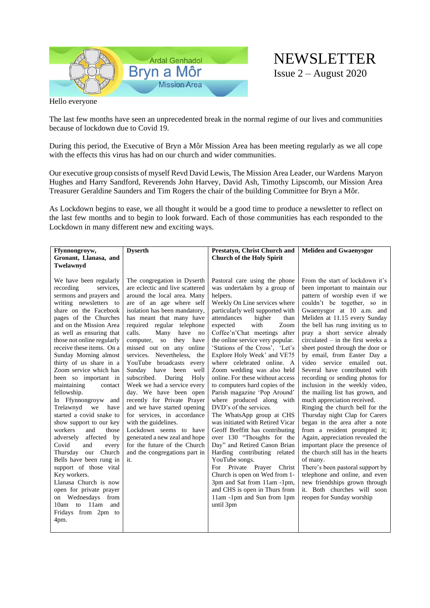

# NEWSLETTER Issue 2 – August 2020

Hello everyone

The last few months have seen an unprecedented break in the normal regime of our lives and communities because of lockdown due to Covid 19.

During this period, the Executive of Bryn a Môr Mission Area has been meeting regularly as we all cope with the effects this virus has had on our church and wider communities.

Our executive group consists of myself Revd David Lewis, The Mission Area Leader, our Wardens Maryon Hughes and Harry Sandford, Reverends John Harvey, David Ash, Timothy Lipscomb, our Mission Area Treasurer Geraldine Saunders and Tim Rogers the chair of the building Committee for Bryn a Môr.

As Lockdown begins to ease, we all thought it would be a good time to produce a newsletter to reflect on the last few months and to begin to look forward. Each of those communities has each responded to the Lockdown in many different new and exciting ways.

| Ffynnongroyw,                                                                                                                                                                                                                                                                                                                                                                                                                                                                                                                                                                                                                                                                                                                                                                                                                              | <b>Dyserth</b>                                                                                                                                                                                                                                                                                                                                                                                                                                                                                                                                                                                                                                                                                                                                                 | Prestatyn, Christ Church and                                                                                                                                                                                                                                                                                                                                                                                                                                                                                                                                                                                                                                                                                                                                                                                                                                                                                                                                             | <b>Meliden and Gwaenysgor</b>                                                                                                                                                                                                                                                                                                                                                                                                                                                                                                                                                                                                                                                                                                                                                                                                                                                                                                                                                                                                |
|--------------------------------------------------------------------------------------------------------------------------------------------------------------------------------------------------------------------------------------------------------------------------------------------------------------------------------------------------------------------------------------------------------------------------------------------------------------------------------------------------------------------------------------------------------------------------------------------------------------------------------------------------------------------------------------------------------------------------------------------------------------------------------------------------------------------------------------------|----------------------------------------------------------------------------------------------------------------------------------------------------------------------------------------------------------------------------------------------------------------------------------------------------------------------------------------------------------------------------------------------------------------------------------------------------------------------------------------------------------------------------------------------------------------------------------------------------------------------------------------------------------------------------------------------------------------------------------------------------------------|--------------------------------------------------------------------------------------------------------------------------------------------------------------------------------------------------------------------------------------------------------------------------------------------------------------------------------------------------------------------------------------------------------------------------------------------------------------------------------------------------------------------------------------------------------------------------------------------------------------------------------------------------------------------------------------------------------------------------------------------------------------------------------------------------------------------------------------------------------------------------------------------------------------------------------------------------------------------------|------------------------------------------------------------------------------------------------------------------------------------------------------------------------------------------------------------------------------------------------------------------------------------------------------------------------------------------------------------------------------------------------------------------------------------------------------------------------------------------------------------------------------------------------------------------------------------------------------------------------------------------------------------------------------------------------------------------------------------------------------------------------------------------------------------------------------------------------------------------------------------------------------------------------------------------------------------------------------------------------------------------------------|
| Gronant, Llanasa, and                                                                                                                                                                                                                                                                                                                                                                                                                                                                                                                                                                                                                                                                                                                                                                                                                      |                                                                                                                                                                                                                                                                                                                                                                                                                                                                                                                                                                                                                                                                                                                                                                | <b>Church of the Holy Spirit</b>                                                                                                                                                                                                                                                                                                                                                                                                                                                                                                                                                                                                                                                                                                                                                                                                                                                                                                                                         |                                                                                                                                                                                                                                                                                                                                                                                                                                                                                                                                                                                                                                                                                                                                                                                                                                                                                                                                                                                                                              |
| Twelawnyd                                                                                                                                                                                                                                                                                                                                                                                                                                                                                                                                                                                                                                                                                                                                                                                                                                  |                                                                                                                                                                                                                                                                                                                                                                                                                                                                                                                                                                                                                                                                                                                                                                |                                                                                                                                                                                                                                                                                                                                                                                                                                                                                                                                                                                                                                                                                                                                                                                                                                                                                                                                                                          |                                                                                                                                                                                                                                                                                                                                                                                                                                                                                                                                                                                                                                                                                                                                                                                                                                                                                                                                                                                                                              |
| We have been regularly<br>recording<br>services,<br>sermons and prayers and<br>writing newsletters to<br>share on the Facebook<br>pages of the Churches<br>and on the Mission Area<br>as well as ensuring that<br>those not online regularly<br>receive these items. On a<br>Sunday Morning almost<br>thirty of us share in a<br>Zoom service which has<br>been so important in<br>maintaining<br>contact<br>fellowship.<br>In Ffynnongroyw and<br>Trelawnyd<br>we<br>have<br>started a covid snake to<br>show support to our key<br>workers<br>and<br>those<br>affected by<br>adversely<br>Covid<br>and<br>every<br>Thursday our Church<br>Bells have been rung in<br>support of those vital<br>Key workers.<br>Llanasa Church is now<br>open for private prayer<br>on Wednesdays from<br>10am to 11am and<br>Fridays from 2pm to<br>4pm. | The congregation in Dyserth<br>are eclectic and live scattered<br>around the local area. Many<br>are of an age where self<br>isolation has been mandatory,<br>has meant that many have<br>required regular telephone<br>calls.<br>Many<br>have<br>no<br>computer,<br>${\bf SO}$<br>they have<br>missed out on any online<br>services. Nevertheless, the<br>YouTube broadcasts every<br>Sunday have been<br>well<br>subscribed. During<br>Holy<br>Week we had a service every<br>day. We have been open<br>recently for Private Prayer<br>and we have started opening<br>for services, in accordance<br>with the guidelines.<br>Lockdown seems to have<br>generated a new zeal and hope<br>for the future of the Church<br>and the congregations part in<br>it. | Pastoral care using the phone<br>was undertaken by a group of<br>helpers.<br>Weekly On Line services where<br>particularly well supported with<br>attendances<br>higher<br>than<br>with<br>expected<br>Zoom<br>Coffee'n'Chat meetings after<br>the online service very popular.<br>'Stations of the Cross', 'Let's<br>Explore Holy Week' and VE75<br>where celebrated online. A<br>Zoom wedding was also held<br>online. For these without access<br>to computers hard copies of the<br>Parish magazine 'Pop Around'<br>where produced along with<br>DVD's of the services.<br>The WhatsApp group at CHS<br>was initiated with Retired Vicar<br>Geoff Breffitt has contributing<br>over 130 "Thoughts for the<br>Day" and Retired Canon Brian<br>Harding contributing related<br>YouTube songs.<br>For Private Prayer Christ<br>Church is open on Wed from 1-<br>3pm and Sat from 11am -1pm,<br>and CHS is open in Thurs from<br>11am -1pm and Sun from 1pm<br>until 3pm | From the start of lockdown it's<br>been important to maintain our<br>pattern of worship even if we<br>couldn't be together, so in<br>Gwaenysgor at 10 a.m. and<br>Meliden at 11.15 every Sunday<br>the bell has rung inviting us to<br>pray a short service already<br>$circulated - in the first weeks a$<br>sheet posted through the door or<br>by email, from Easter Day a<br>video service<br>emailed<br>out.<br>Several have contributed with<br>recording or sending photos for<br>inclusion in the weekly video,<br>the mailing list has grown, and<br>much appreciation received.<br>Ringing the church bell for the<br>Thursday night Clap for Carers<br>began in the area after a note<br>from a resident prompted it;<br>Again, appreciation revealed the<br>important place the presence of<br>the church still has in the hearts<br>of many.<br>There's been pastoral support by<br>telephone and online, and even<br>new friendships grown through<br>it. Both churches will soon<br>reopen for Sunday worship |